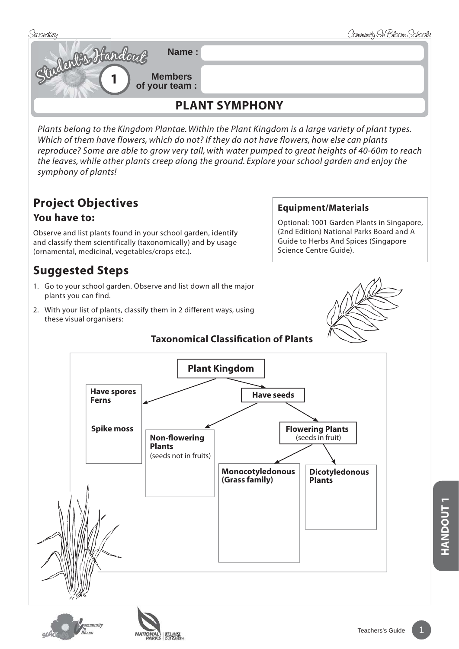

*Plants belong to the Kingdom Plantae. Within the Plant Kingdom is a large variety of plant types. Which of them have flowers, which do not? If they do not have flowers, how else can plants reproduce? Some are able to grow very tall, with water pumped to great heights of 40-60m to reach the leaves, while other plants creep along the ground. Explore your school garden and enjoy the symphony of plants!*

# **Project Objectives**

#### **You have to:**

Observe and list plants found in your school garden, identify and classify them scientifically (taxonomically) and by usage (ornamental, medicinal, vegetables/crops etc.).

## **Suggested Steps**

- 1. Go to your school garden. Observe and list down all the major plants you can find.
- 2. With your list of plants, classify them in 2 different ways, using these visual organisers:

#### **Taxonomical Classification of Plants**

#### **Equipment/Materials**

Optional: 1001 Garden Plants in Singapore, (2nd Edition) National Parks Board and A Guide to Herbs And Spices (Singapore Science Centre Guide).